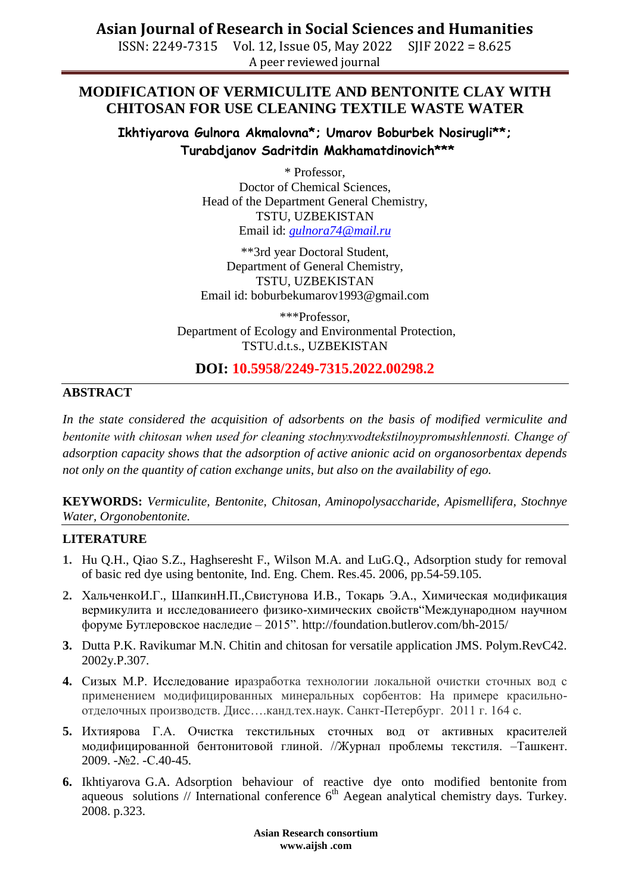**Asian Journal of Research in Social Sciences and Humanities**

ISSN: 2249-7315 Vol. 12, Issue 05, May 2022 SJIF 2022 = 8.625 A peer reviewed journal

## **MODIFICATION OF VERMICULITE AND BENTONITE CLAY WITH CHITOSAN FOR USE CLEANING TEXTILE WASTE WATER**

**Ikhtiyarova Gulnora Akmalovna\*; Umarov Boburbek Nosirugli\*\*; Turabdjanov Sadritdin Makhamatdinovich\*\*\***

> \* Professor, Doctor of Chemical Sciences, Head of the Department General Chemistry, TSTU, UZBEKISTAN Email id: *[gulnora74@mail.ru](mailto:gulnora74@mail.ru)*

\*\*3rd year Doctoral Student, Department of General Chemistry, TSTU, UZBEKISTAN Email id: boburbekumarov1993@gmail.com

\*\*\*Professor, Department of Ecology and Environmental Protection, TSTU.d.t.s., UZBEKISTAN

## **DOI: 10.5958/2249-7315.2022.00298.2**

#### **ABSTRACT**

*In the state considered the acquisition of adsorbents on the basis of modified vermiculite and bentonite with chitosan when used for cleaning stochnyxvodtekstilnoypromыshlennosti. Change of adsorption capacity shows that the adsorption of active anionic acid on organosorbentax depends not only on the quantity of cation exchange units, but also on the availability of ego.*

**KEYWORDS:** *Vermiculite, Bentonite, Chitosan, Aminopolysaccharide, Apismellifera, Stochnye Water, Orgonobentonite.*

#### **LITERATURE**

- **1.** Hu Q.H., Qiao S.Z., Haghseresht F., Wilson M.A. and LuG.Q., Adsorption study for removal of basic red dye using bentonite, Ind. Eng. Chem. Res.45. 2006, pp.54-59.105.
- **2.** ХальченкоИ.Г., ШапкинН.П.,Свистунова И.В., Токарь Э.А., Химическая модификация вермикулита и исследованиеего физико-химических свойств"Международном научном форуме Бутлеровское наследие – 2015".<http://foundation.butlerov.com/bh-2015/>
- **3.** Dutta P.K. Ravikumar M.N. Chitin and chitosan for versatile application JMS. Polym.RevC42. 2002y.P.307.
- **4.** Сизых М.Р. Исследование иразработка технологии локальной очистки сточных вод с применением модифицированных минеральных сорбентов: На примере красильноотделочных производств. Дисс….канд.тех.наук. Санкт-Петербург. 2011 г. 164 с.
- **5.** Ихтиярова Г.A. Очистка текстильных сточных вод от активных красителей модифицированной бентонитовой глиной. //Журнал проблемы текстиля. –Taшкент. 2009. -№2. -С.40-45.
- **6.** Ikhtiyarova G.A. Adsorption behaviour of reactive dye onto modified bentonite from aqueous solutions // International conference  $6<sup>th</sup>$  Aegean analytical chemistry days. Turkey. 2008. p.323.